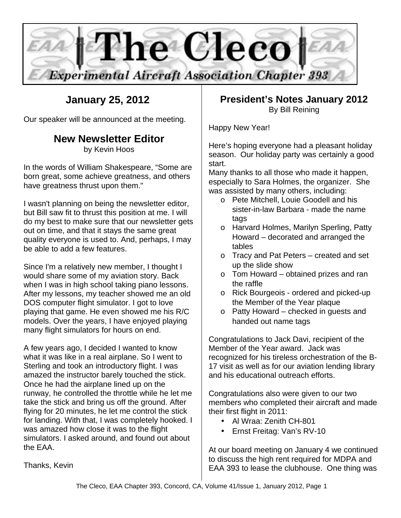

# **January 25, 2012**

Our speaker will be announced at the meeting.

# **New Newsletter Editor**

by Kevin Hoos

In the words of William Shakespeare, "Some are born great, some achieve greatness, and others have greatness thrust upon them."

I wasn't planning on being the newsletter editor, but Bill saw fit to thrust this position at me. I will do my best to make sure that our newsletter gets out on time, and that it stays the same great quality everyone is used to. And, perhaps, I may be able to add a few features.

Since I'm a relatively new member, I thought I would share some of my aviation story. Back when I was in high school taking piano lessons. After my lessons, my teacher showed me an old DOS computer flight simulator. I got to love playing that game. He even showed me his R/C models. Over the years, I have enjoyed playing many flight simulators for hours on end.

A few years ago, I decided I wanted to know what it was like in a real airplane. So I went to Sterling and took an introductory flight. I was amazed the instructor barely touched the stick. Once he had the airplane lined up on the runway, he controlled the throttle while he let me take the stick and bring us off the ground. After flying for 20 minutes, he let me control the stick for landing. With that, I was completely hooked. I was amazed how close it was to the flight simulators. I asked around, and found out about the EAA.

# **President's Notes January 2012** By Bill Reining

Happy New Year!

Here's hoping everyone had a pleasant holiday season. Our holiday party was certainly a good start.

Many thanks to all those who made it happen, especially to Sara Holmes, the organizer. She was assisted by many others, including:

- o Pete Mitchell, Louie Goodell and his sister-in-law Barbara - made the name tags
- o Harvard Holmes, Marilyn Sperling, Patty Howard – decorated and arranged the tables
- o Tracy and Pat Peters created and set up the slide show
- o Tom Howard obtained prizes and ran the raffle
- o Rick Bourgeois ordered and picked-up the Member of the Year plaque
- o Patty Howard checked in guests and handed out name tags

Congratulations to Jack Davi, recipient of the Member of the Year award. Jack was recognized for his tireless orchestration of the B-17 visit as well as for our aviation lending library and his educational outreach efforts.

Congratulations also were given to our two members who completed their aircraft and made their first flight in 2011:

- Al Wraa: Zenith CH-801
- Ernst Freitag: Van's RV-10

At our board meeting on January 4 we continued to discuss the high rent required for MDPA and EAA 393 to lease the clubhouse. One thing was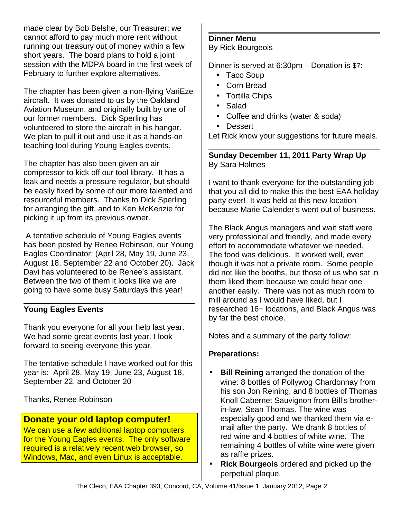made clear by Bob Belshe, our Treasurer: we cannot afford to pay much more rent without running our treasury out of money within a few short years. The board plans to hold a joint session with the MDPA board in the first week of February to further explore alternatives.

The chapter has been given a non-flying VariEze aircraft. It was donated to us by the Oakland Aviation Museum, and originally built by one of our former members. Dick Sperling has volunteered to store the aircraft in his hangar. We plan to pull it out and use it as a hands-on teaching tool during Young Eagles events.

The chapter has also been given an air compressor to kick off our tool library. It has a leak and needs a pressure regulator, but should be easily fixed by some of our more talented and resourceful members. Thanks to Dick Sperling for arranging the gift, and to Ken McKenzie for picking it up from its previous owner.

 A tentative schedule of Young Eagles events has been posted by Renee Robinson, our Young Eagles Coordinator: (April 28, May 19, June 23, August 18, September 22 and October 20). Jack Davi has volunteered to be Renee's assistant. Between the two of them it looks like we are going to have some busy Saturdays this year!

# **Young Eagles Events**

Thank you everyone for all your help last year. We had some great events last year. I look forward to seeing everyone this year.

The tentative schedule I have worked out for this year is: April 28, May 19, June 23, August 18, September 22, and October 20

Thanks, Renee Robinson

# **Donate your old laptop computer!**

We can use a few additional laptop computers for the Young Eagles events. The only software required is a relatively recent web browser, so Windows, Mac, and even Linux is acceptable.

#### **Dinner Menu** By Rick Bourgeois

Dinner is served at 6:30pm – Donation is \$7:

- Taco Soup
- Corn Bread
- Tortilla Chips
- Salad
- Coffee and drinks (water & soda)
- Dessert

Let Rick know your suggestions for future meals.

## **Sunday December 11, 2011 Party Wrap Up** By Sara Holmes

I want to thank everyone for the outstanding job that you all did to make this the best EAA holiday party ever! It was held at this new location because Marie Calender's went out of business.

The Black Angus managers and wait staff were very professional and friendly, and made every effort to accommodate whatever we needed. The food was delicious. It worked well, even though it was not a private room. Some people did not like the booths, but those of us who sat in them liked them because we could hear one another easily. There was not as much room to mill around as I would have liked, but I researched 16+ locations, and Black Angus was by far the best choice.

Notes and a summary of the party follow:

# **Preparations:**

- **Bill Reining** arranged the donation of the wine: 8 bottles of Pollywog Chardonnay from his son Jon Reining, and 8 bottles of Thomas Knoll Cabernet Sauvignon from Bill's brotherin-law, Sean Thomas. The wine was especially good and we thanked them via email after the party. We drank 8 bottles of red wine and 4 bottles of white wine. The remaining 4 bottles of white wine were given as raffle prizes.
- **Rick Bourgeois** ordered and picked up the perpetual plaque.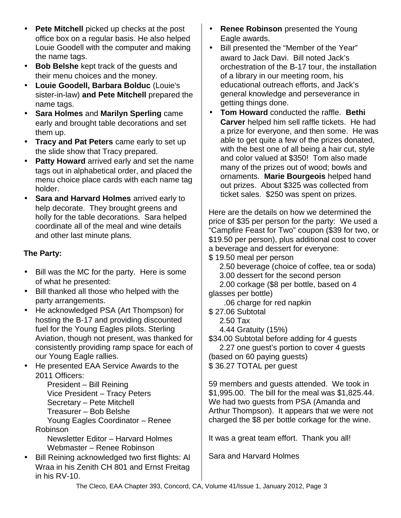- **Pete Mitchell** picked up checks at the post office box on a regular basis. He also helped Louie Goodell with the computer and making the name tags.
- **Bob Belshe** kept track of the guests and their menu choices and the money.
- **Louie Goodell, Barbara Bolduc** (Louie's sister-in-law) **and Pete Mitchell** prepared the name tags.
- **Sara Holmes** and **Marilyn Sperling** came early and brought table decorations and set them up.
- **Tracy and Pat Peters** came early to set up the slide show that Tracy prepared.
- **Patty Howard** arrived early and set the name tags out in alphabetical order, and placed the menu choice place cards with each name tag holder.
- **Sara and Harvard Holmes** arrived early to help decorate. They brought greens and holly for the table decorations. Sara helped coordinate all of the meal and wine details and other last minute plans.

# **The Party:**

- Bill was the MC for the party. Here is some of what he presented:
- Bill thanked all those who helped with the party arrangements.
- He acknowledged PSA (Art Thompson) for hosting the B-17 and providing discounted fuel for the Young Eagles pilots. Sterling Aviation, though not present, was thanked for consistently providing ramp space for each of our Young Eagle rallies.
- He presented EAA Service Awards to the 2011 Officers:

President – Bill Reining Vice President – Tracy Peters Secretary – Pete Mitchell Treasurer – Bob Belshe Young Eagles Coordinator – Renee Robinson

Newsletter Editor – Harvard Holmes Webmaster – Renee Robinson

• Bill Reining acknowledged two first flights: Al Wraa in his Zenith CH 801 and Ernst Freitag in his RV-10.

- **Renee Robinson** presented the Young Eagle awards.
- Bill presented the "Member of the Year" award to Jack Davi. Bill noted Jack's orchestration of the B-17 tour, the installation of a library in our meeting room, his educational outreach efforts, and Jack's general knowledge and perseverance in getting things done.
- **Tom Howard** conducted the raffle. **Bethi Carver** helped him sell raffle tickets. He had a prize for everyone, and then some. He was able to get quite a few of the prizes donated, with the best one of all being a hair cut, style and color valued at \$350! Tom also made many of the prizes out of wood; bowls and ornaments. **Marie Bourgeois** helped hand out prizes. About \$325 was collected from ticket sales. \$250 was spent on prizes.

Here are the details on how we determined the price of \$35 per person for the party: We used a "Campfire Feast for Two" coupon (\$39 for two, or \$19.50 per person), plus additional cost to cover a beverage and dessert for everyone:

- \$ 19.50 meal per person
	- 2.50 beverage (choice of coffee, tea or soda)
	- 3.00 dessert for the second person
- 2.00 corkage (\$8 per bottle, based on 4 glasses per bottle)
	- .06 charge for red napkin
- \$ 27.06 Subtotal
	- 2.50 Tax
	- 4.44 Gratuity (15%)

\$34.00 Subtotal before adding for 4 guests

 2.27 one guest's portion to cover 4 guests (based on 60 paying quests) \$ 36.27 TOTAL per guest

59 members and guests attended. We took in \$1,995.00. The bill for the meal was \$1,825.44. We had two guests from PSA (Amanda and Arthur Thompson). It appears that we were not charged the \$8 per bottle corkage for the wine.

It was a great team effort. Thank you all!

Sara and Harvard Holmes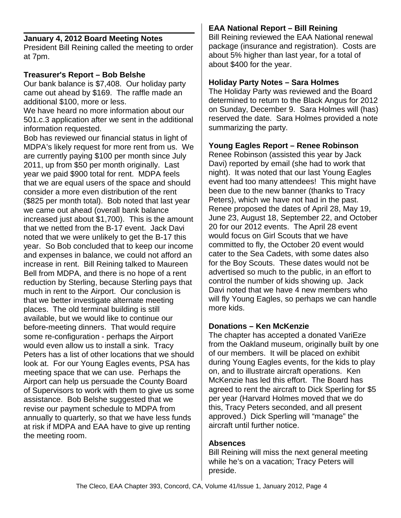### **January 4, 2012 Board Meeting Notes**

President Bill Reining called the meeting to order at 7pm.

### **Treasurer's Report – Bob Belshe**

Our bank balance is \$7,408. Our holiday party came out ahead by \$169. The raffle made an additional \$100, more or less.

We have heard no more information about our 501.c.3 application after we sent in the additional information requested.

Bob has reviewed our financial status in light of MDPA's likely request for more rent from us. We are currently paying \$100 per month since July 2011, up from \$50 per month originally. Last year we paid \$900 total for rent. MDPA feels that we are equal users of the space and should consider a more even distribution of the rent (\$825 per month total). Bob noted that last year we came out ahead (overall bank balance increased just about \$1,700). This is the amount that we netted from the B-17 event. Jack Davi noted that we were unlikely to get the B-17 this year. So Bob concluded that to keep our income and expenses in balance, we could not afford an increase in rent. Bill Reining talked to Maureen Bell from MDPA, and there is no hope of a rent reduction by Sterling, because Sterling pays that much in rent to the Airport. Our conclusion is that we better investigate alternate meeting places. The old terminal building is still available, but we would like to continue our before-meeting dinners. That would require some re-configuration - perhaps the Airport would even allow us to install a sink. Tracy Peters has a list of other locations that we should look at. For our Young Eagles events, PSA has meeting space that we can use. Perhaps the Airport can help us persuade the County Board of Supervisors to work with them to give us some assistance. Bob Belshe suggested that we revise our payment schedule to MDPA from annually to quarterly, so that we have less funds at risk if MDPA and EAA have to give up renting the meeting room.

## **EAA National Report – Bill Reining**

Bill Reining reviewed the EAA National renewal package (insurance and registration). Costs are about 5% higher than last year, for a total of about \$400 for the year.

#### **Holiday Party Notes – Sara Holmes**

The Holiday Party was reviewed and the Board determined to return to the Black Angus for 2012 on Sunday, December 9. Sara Holmes will (has) reserved the date. Sara Holmes provided a note summarizing the party.

### **Young Eagles Report – Renee Robinson**

Renee Robinson (assisted this year by Jack Davi) reported by email (she had to work that night). It was noted that our last Young Eagles event had too many attendees! This might have been due to the new banner (thanks to Tracy Peters), which we have not had in the past. Renee proposed the dates of April 28, May 19, June 23, August 18, September 22, and October 20 for our 2012 events. The April 28 event would focus on Girl Scouts that we have committed to fly, the October 20 event would cater to the Sea Cadets, with some dates also for the Boy Scouts. These dates would not be advertised so much to the public, in an effort to control the number of kids showing up. Jack Davi noted that we have 4 new members who will fly Young Eagles, so perhaps we can handle more kids.

#### **Donations – Ken McKenzie**

The chapter has accepted a donated VariEze from the Oakland museum, originally built by one of our members. It will be placed on exhibit during Young Eagles events, for the kids to play on, and to illustrate aircraft operations. Ken McKenzie has led this effort. The Board has agreed to rent the aircraft to Dick Sperling for \$5 per year (Harvard Holmes moved that we do this, Tracy Peters seconded, and all present approved.) Dick Sperling will "manage" the aircraft until further notice.

#### **Absences**

Bill Reining will miss the next general meeting while he's on a vacation; Tracy Peters will preside.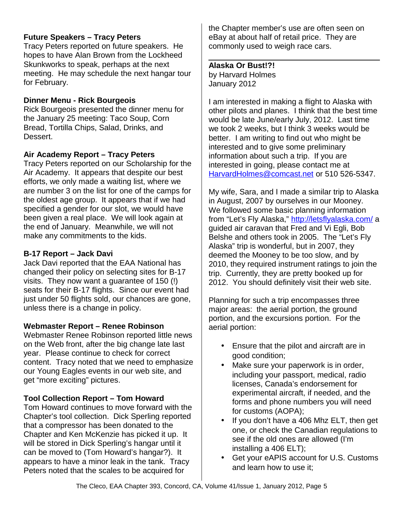## **Future Speakers – Tracy Peters**

Tracy Peters reported on future speakers. He hopes to have Alan Brown from the Lockheed Skunkworks to speak, perhaps at the next meeting. He may schedule the next hangar tour for February.

### **Dinner Menu - Rick Bourgeois**

Rick Bourgeois presented the dinner menu for the January 25 meeting: Taco Soup, Corn Bread, Tortilla Chips, Salad, Drinks, and Dessert.

## **Air Academy Report – Tracy Peters**

Tracy Peters reported on our Scholarship for the Air Academy. It appears that despite our best efforts, we only made a waiting list, where we are number 3 on the list for one of the camps for the oldest age group. It appears that if we had specified a gender for our slot, we would have been given a real place. We will look again at the end of January. Meanwhile, we will not make any commitments to the kids.

## **B-17 Report – Jack Davi**

Jack Davi reported that the EAA National has changed their policy on selecting sites for B-17 visits. They now want a guarantee of 150 (!) seats for their B-17 flights. Since our event had just under 50 flights sold, our chances are gone, unless there is a change in policy.

## **Webmaster Report – Renee Robinson**

Webmaster Renee Robinson reported little news on the Web front, after the big change late last year. Please continue to check for correct content. Tracy noted that we need to emphasize our Young Eagles events in our web site, and get "more exciting" pictures.

## **Tool Collection Report – Tom Howard**

Tom Howard continues to move forward with the Chapter's tool collection. Dick Sperling reported that a compressor has been donated to the Chapter and Ken McKenzie has picked it up. It will be stored in Dick Sperling's hangar until it can be moved to (Tom Howard's hangar?). It appears to have a minor leak in the tank. Tracy Peters noted that the scales to be acquired for

the Chapter member's use are often seen on eBay at about half of retail price. They are commonly used to weigh race cars.

**Alaska Or Bust!?!** by Harvard Holmes January 2012

I am interested in making a flight to Alaska with other pilots and planes. I think that the best time would be late June/early July, 2012. Last time we took 2 weeks, but I think 3 weeks would be better. I am writing to find out who might be interested and to give some preliminary information about such a trip. If you are interested in going, please contact me at [HarvardHolmes@comcast.net](mailto:HarvardHolmes@comcast.net) or 510 526-5347.

My wife, Sara, and I made a similar trip to Alaska in August, 2007 by ourselves in our Mooney. We followed some basic planning information from "Let's Fly Alaska,"<http://letsflyalaska.com/>a guided air caravan that Fred and Vi Egli, Bob Belshe and others took in 2005. The "Let's Fly Alaska" trip is wonderful, but in 2007, they deemed the Mooney to be too slow, and by 2010, they required instrument ratings to join the trip. Currently, they are pretty booked up for 2012. You should definitely visit their web site.

Planning for such a trip encompasses three major areas: the aerial portion, the ground portion, and the excursions portion. For the aerial portion:

- Ensure that the pilot and aircraft are in good condition;
- Make sure your paperwork is in order, including your passport, medical, radio licenses, Canada's endorsement for experimental aircraft, if needed, and the forms and phone numbers you will need for customs (AOPA);
- If you don't have a 406 Mhz ELT, then get one, or check the Canadian regulations to see if the old ones are allowed (I'm installing a 406 ELT);
- Get your eAPIS account for U.S. Customs and learn how to use it;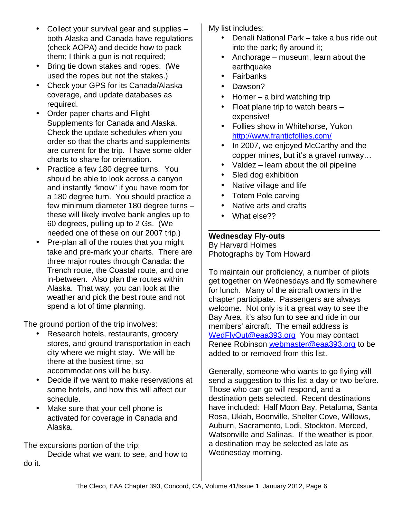- Collect your survival gear and supplies both Alaska and Canada have regulations (check AOPA) and decide how to pack them; I think a gun is not required;
- Bring tie down stakes and ropes. (We used the ropes but not the stakes.)
- Check your GPS for its Canada/Alaska coverage, and update databases as required.
- Order paper charts and Flight Supplements for Canada and Alaska. Check the update schedules when you order so that the charts and supplements are current for the trip. I have some older charts to share for orientation.
- Practice a few 180 degree turns. You should be able to look across a canyon and instantly "know" if you have room for a 180 degree turn. You should practice a few minimum diameter 180 degree turns – these will likely involve bank angles up to 60 degrees, pulling up to 2 Gs. (We needed one of these on our 2007 trip.)
- Pre-plan all of the routes that you might take and pre-mark your charts. There are three major routes through Canada: the Trench route, the Coastal route, and one in-between. Also plan the routes within Alaska. That way, you can look at the weather and pick the best route and not spend a lot of time planning.

The ground portion of the trip involves:

- Research hotels, restaurants, grocery stores, and ground transportation in each city where we might stay. We will be there at the busiest time, so accommodations will be busy.
- Decide if we want to make reservations at some hotels, and how this will affect our schedule.
- Make sure that your cell phone is activated for coverage in Canada and Alaska.

The excursions portion of the trip:

Decide what we want to see, and how to do it.

My list includes:

- Denali National Park take a bus ride out into the park; fly around it;
- Anchorage museum, learn about the earthquake
- Fairbanks
- Dawson?
- Homer a bird watching trip
- Float plane trip to watch bears expensive!
- Follies show in Whitehorse, Yukon <http://www.franticfollies.com/>
- In 2007, we enjoyed McCarthy and the copper mines, but it's a gravel runway…
- Valdez learn about the oil pipeline
- Sled dog exhibition
- Native village and life
- Totem Pole carving
- Native arts and crafts
- What else??

# **Wednesday Fly-outs**

By Harvard Holmes Photographs by Tom Howard

To maintain our proficiency, a number of pilots get together on Wednesdays and fly somewhere for lunch. Many of the aircraft owners in the chapter participate. Passengers are always welcome. Not only is it a great way to see the Bay Area, it's also fun to see and ride in our members' aircraft. The email address is [WedFlyOut@eaa393.org](mailto:WedFlyOut@eaa393.org) You may contact Renee Robinson [webmaster@eaa393.org](mailto:webmaster@eaa393.org) to be added to or removed from this list.

Generally, someone who wants to go flying will send a suggestion to this list a day or two before. Those who can go will respond, and a destination gets selected. Recent destinations have included: Half Moon Bay, Petaluma, Santa Rosa, Ukiah, Boonville, Shelter Cove, Willows, Auburn, Sacramento, Lodi, Stockton, Merced, Watsonville and Salinas. If the weather is poor, a destination may be selected as late as Wednesday morning.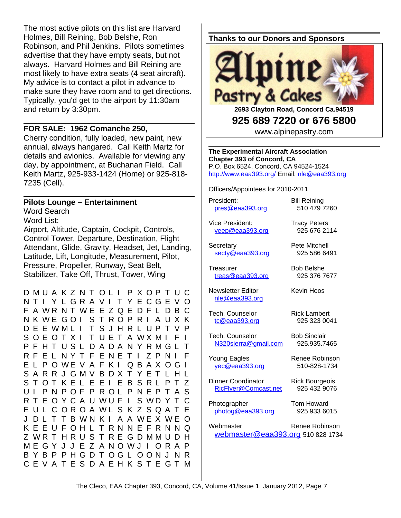The most active pilots on this list are Harvard Holmes, Bill Reining, Bob Belshe, Ron Robinson, and Phil Jenkins. Pilots sometimes advertise that they have empty seats, but not always. Harvard Holmes and Bill Reining are most likely to have extra seats (4 seat aircraft). My advice is to contact a pilot in advance to make sure they have room and to get directions. Typically, you'd get to the airport by 11:30am and return by 3:30pm.

#### **FOR SALE: 1962 Comanche 250,**

Cherry condition, fully loaded, new paint, new annual, always hangared. Call Keith Martz for details and avionics. Available for viewing any day, by appointment, at Buchanan Field. Call Keith Martz, 925-933-1424 (Home) or 925-818- 7235 (Cell).

## **Pilots Lounge – Entertainment**

Word Search

Word List:

Airport, Altitude, Captain, Cockpit, Controls, Control Tower, Departure, Destination, Flight Attendant, Glide, Gravity, Headset, Jet, Landing, Latitude, Lift, Longitude, Measurement, Pilot, Pressure, Propeller, Runway, Seat Belt, Stabilizer, Take Off, Thrust, Tower, Wing

D M U A K Z N T O L I P X O P T U C N T I Y L G R A V I T Y E C G E V O F A WR N T W E E Z Q E D F L D B C N K W E G O I S T R O P R I A U X K D E E W M L I T S J H R L U P T V P S O E O T X I T U E T A W X M I F I P F H T U S L D A D A N Y R M G L T R F E L N Y T F E N E T I Z P N I F E L P O W E V A F K I Q B A X O G I S A R R J G M V B D X T Y E T L H L S T O T K E L E E I E B S R L P T Z U I P N P O F P R O L P N E P T A S R T E O Y C A U WUF I S WD Y T C E U L C O R O A W L S K Z S O A T E J D L T T B W N K I A A W E X W E O K E E U F O H L T R N N E F R N N Q Z WR T H R U S T R E G D M M U D H M E G Y J J E Z A N O W J I O R A P B Y B P P H G D T O G L O O N J N R C E V A T E S D A E H K S T E G T M **Thanks to our Donors and Sponsors**



**2693 Clayton Road, Concord Ca.94519 925 689 7220 or 676 5800**

www.alpinepastry.com

**The Experimental Aircraft Association Chapter 393 of Concord, CA** P.O. Box 6524, Concord, CA 94524-1524 <http://www.eaa393.org/>Email: [nle@eaa393.org](mailto:nle@eaa393.org)

Officers/Appointees for 2010-2011

President: Bill Reining [pres@eaa393.org](mailto:pres@eaa393.org) 510 479 7260

Vice President: Tracy Peters [veep@eaa393.org](mailto:veep@eaa393.org) 925 676 2114

Secretary Pete Mitchell [secty@eaa393.org](mailto:secty@eaa393.org) 925 586 6491

Treasurer Bob Belshe [treas@eaa393.org](mailto:treas@eaa393.org) 925 376 7677

Newsletter Editor **Kevin Hoos** [nle@eaa393.org](mailto:nle@eaa393.org)

Tech. Counselor **Rick Lambert** [tc@eaa393.org](mailto:tc@eaa393.org) 925 323 0041

Tech. Counselor Bob Sinclair [N320sierra@gmail.com](mailto:N320sierra@gmail.com) 925.935.7465

Young Eagles Renee Robinson [yec@eaa393.org](mailto:yec@eaa393.org) 510-828-1734

Dinner Coordinator Rick Bourgeois [RicFlyer@Comcast.net](mailto:RicFlyer@Comcast.net) 925 432 9076

Photographer Tom Howard [photog@eaa393.org](mailto:photog@eaa393.org) 925 933 6015

Webmaster Renee Robinson [webmaster@eaa393.org](mailto:webmaster@eaa393.org) 510 828 1734